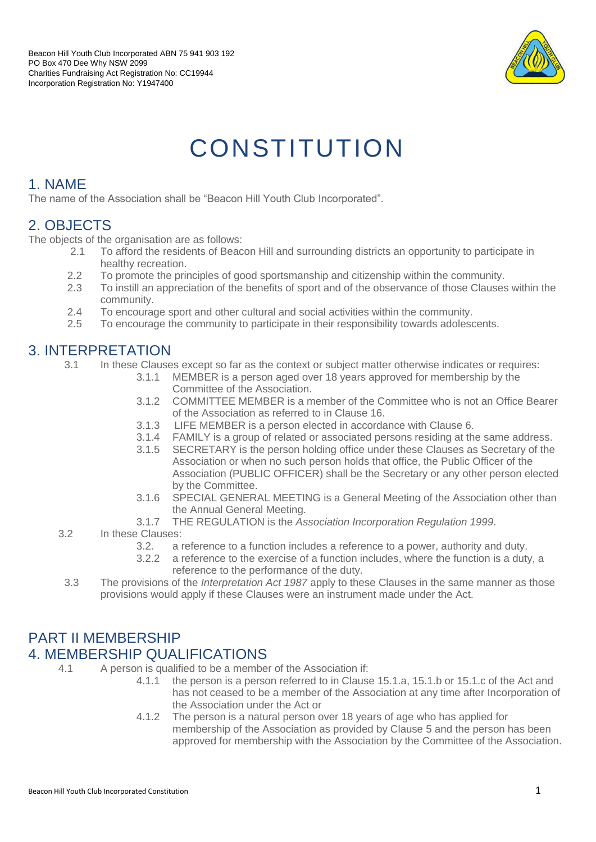

# **CONSTITUTION**

#### 1. NAME

The name of the Association shall be "Beacon Hill Youth Club Incorporated".

## 2. OBJECTS

The objects of the organisation are as follows:

- 2.1 To afford the residents of Beacon Hill and surrounding districts an opportunity to participate in healthy recreation.
- 2.2 To promote the principles of good sportsmanship and citizenship within the community.
- 2.3 To instill an appreciation of the benefits of sport and of the observance of those Clauses within the community.
- 2.4 To encourage sport and other cultural and social activities within the community.
- 2.5 To encourage the community to participate in their responsibility towards adolescents.

#### 3. INTERPRETATION

- 3.1 In these Clauses except so far as the context or subject matter otherwise indicates or requires:
	- 3.1.1 MEMBER is a person aged over 18 years approved for membership by the Committee of the Association.
	- 3.1.2 COMMITTEE MEMBER is a member of the Committee who is not an Office Bearer of the Association as referred to in Clause 16.
	- 3.1.3 LIFE MEMBER is a person elected in accordance with Clause 6.
	- 3.1.4 FAMILY is a group of related or associated persons residing at the same address.
	- 3.1.5 SECRETARY is the person holding office under these Clauses as Secretary of the Association or when no such person holds that office, the Public Officer of the Association (PUBLIC OFFICER) shall be the Secretary or any other person elected by the Committee.
	- 3.1.6 SPECIAL GENERAL MEETING is a General Meeting of the Association other than the Annual General Meeting.
	- 3.1.7 THE REGULATION is the *Association Incorporation Regulation 1999*.
- 3.2 In these Clauses:
	- 3.2. a reference to a function includes a reference to a power, authority and duty.
	- 3.2.2 a reference to the exercise of a function includes, where the function is a duty, a reference to the performance of the duty.
- 3.3 The provisions of the *Interpretation Act 1987* apply to these Clauses in the same manner as those provisions would apply if these Clauses were an instrument made under the Act.

#### PART II MEMBERSHIP 4. MEMBERSHIP QUALIFICATIONS

- 4.1 A person is qualified to be a member of the Association if:
	- 4.1.1 the person is a person referred to in Clause 15.1.a, 15.1.b or 15.1.c of the Act and has not ceased to be a member of the Association at any time after Incorporation of the Association under the Act or
	- 4.1.2 The person is a natural person over 18 years of age who has applied for membership of the Association as provided by Clause 5 and the person has been approved for membership with the Association by the Committee of the Association.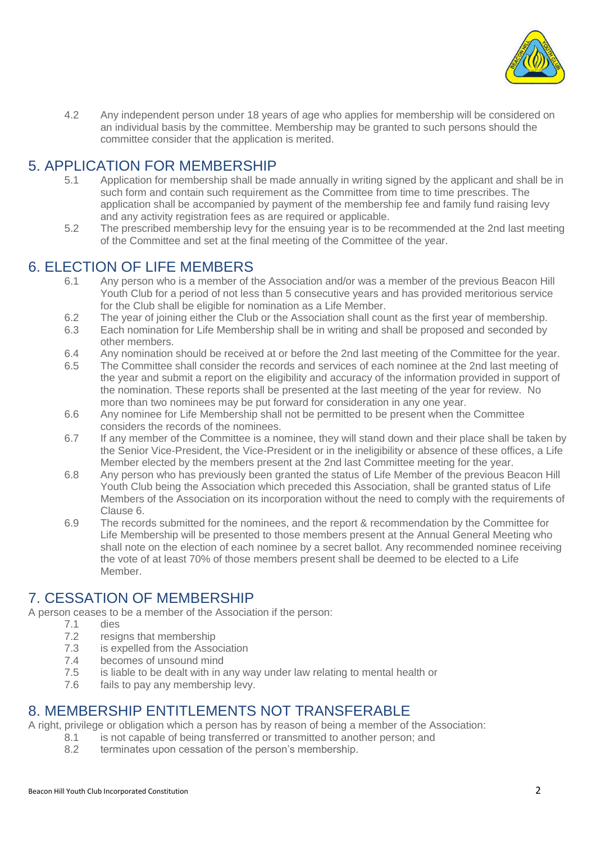

4.2 Any independent person under 18 years of age who applies for membership will be considered on an individual basis by the committee. Membership may be granted to such persons should the committee consider that the application is merited.

#### 5. APPLICATION FOR MEMBERSHIP

- 5.1 Application for membership shall be made annually in writing signed by the applicant and shall be in such form and contain such requirement as the Committee from time to time prescribes. The application shall be accompanied by payment of the membership fee and family fund raising levy and any activity registration fees as are required or applicable.
- 5.2 The prescribed membership levy for the ensuing year is to be recommended at the 2nd last meeting of the Committee and set at the final meeting of the Committee of the year.

#### 6. ELECTION OF LIFE MEMBERS

- 6.1 Any person who is a member of the Association and/or was a member of the previous Beacon Hill Youth Club for a period of not less than 5 consecutive years and has provided meritorious service for the Club shall be eligible for nomination as a Life Member.
- 6.2 The year of joining either the Club or the Association shall count as the first year of membership.
- 6.3 Each nomination for Life Membership shall be in writing and shall be proposed and seconded by other members.
- 6.4 Any nomination should be received at or before the 2nd last meeting of the Committee for the year.
- 6.5 The Committee shall consider the records and services of each nominee at the 2nd last meeting of the year and submit a report on the eligibility and accuracy of the information provided in support of the nomination. These reports shall be presented at the last meeting of the year for review. No more than two nominees may be put forward for consideration in any one year.
- 6.6 Any nominee for Life Membership shall not be permitted to be present when the Committee considers the records of the nominees.
- 6.7 If any member of the Committee is a nominee, they will stand down and their place shall be taken by the Senior Vice-President, the Vice-President or in the ineligibility or absence of these offices, a Life Member elected by the members present at the 2nd last Committee meeting for the year.
- 6.8 Any person who has previously been granted the status of Life Member of the previous Beacon Hill Youth Club being the Association which preceded this Association, shall be granted status of Life Members of the Association on its incorporation without the need to comply with the requirements of Clause 6.
- 6.9 The records submitted for the nominees, and the report & recommendation by the Committee for Life Membership will be presented to those members present at the Annual General Meeting who shall note on the election of each nominee by a secret ballot. Any recommended nominee receiving the vote of at least 70% of those members present shall be deemed to be elected to a Life Member.

#### 7. CESSATION OF MEMBERSHIP

A person ceases to be a member of the Association if the person:<br>7.1 dies

- dies
	- 7.2 resigns that membership
	- 7.3 is expelled from the Association
	- 7.4 becomes of unsound mind
	- 7.5 is liable to be dealt with in any way under law relating to mental health or
	- 7.6 fails to pay any membership levy.

#### 8. MEMBERSHIP ENTITLEMENTS NOT TRANSFERABLE

A right, privilege or obligation which a person has by reason of being a member of the Association:

- 8.1 is not capable of being transferred or transmitted to another person; and
- 8.2 terminates upon cessation of the person's membership.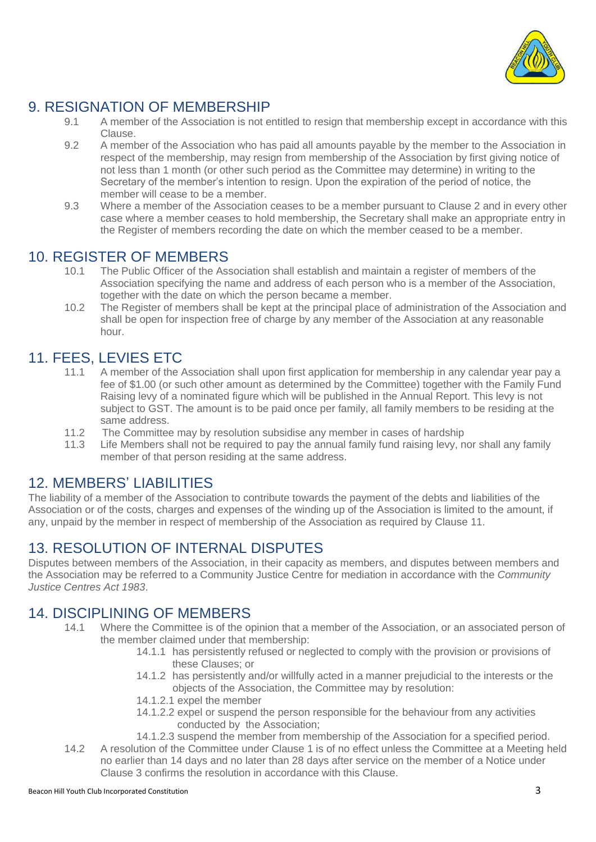

## 9. RESIGNATION OF MEMBERSHIP

- 9.1 A member of the Association is not entitled to resign that membership except in accordance with this Clause.
- 9.2 A member of the Association who has paid all amounts payable by the member to the Association in respect of the membership, may resign from membership of the Association by first giving notice of not less than 1 month (or other such period as the Committee may determine) in writing to the Secretary of the member's intention to resign. Upon the expiration of the period of notice, the member will cease to be a member.
- 9.3 Where a member of the Association ceases to be a member pursuant to Clause 2 and in every other case where a member ceases to hold membership, the Secretary shall make an appropriate entry in the Register of members recording the date on which the member ceased to be a member.

#### 10. REGISTER OF MEMBERS

- 10.1 The Public Officer of the Association shall establish and maintain a register of members of the Association specifying the name and address of each person who is a member of the Association, together with the date on which the person became a member.
- 10.2 The Register of members shall be kept at the principal place of administration of the Association and shall be open for inspection free of charge by any member of the Association at any reasonable hour.

## 11. FEES, LEVIES ETC

- 11.1 A member of the Association shall upon first application for membership in any calendar year pay a fee of \$1.00 (or such other amount as determined by the Committee) together with the Family Fund Raising levy of a nominated figure which will be published in the Annual Report. This levy is not subject to GST. The amount is to be paid once per family, all family members to be residing at the same address.
- 11.2 The Committee may by resolution subsidise any member in cases of hardship
- 11.3 Life Members shall not be required to pay the annual family fund raising levy, nor shall any family member of that person residing at the same address.

#### 12. MEMBERS' LIABILITIES

The liability of a member of the Association to contribute towards the payment of the debts and liabilities of the Association or of the costs, charges and expenses of the winding up of the Association is limited to the amount, if any, unpaid by the member in respect of membership of the Association as required by Clause 11.

## 13. RESOLUTION OF INTERNAL DISPUTES

Disputes between members of the Association, in their capacity as members, and disputes between members and the Association may be referred to a Community Justice Centre for mediation in accordance with the *Community Justice Centres Act 1983*.

#### 14. DISCIPLINING OF MEMBERS

- 14.1 Where the Committee is of the opinion that a member of the Association, or an associated person of the member claimed under that membership:
	- 14.1.1 has persistently refused or neglected to comply with the provision or provisions of these Clauses; or
	- 14.1.2 has persistently and/or willfully acted in a manner prejudicial to the interests or the objects of the Association, the Committee may by resolution:
	- 14.1.2.1 expel the member
	- 14.1.2.2 expel or suspend the person responsible for the behaviour from any activities conducted by the Association;
	- 14.1.2.3 suspend the member from membership of the Association for a specified period.
- 14.2 A resolution of the Committee under Clause 1 is of no effect unless the Committee at a Meeting held no earlier than 14 days and no later than 28 days after service on the member of a Notice under Clause 3 confirms the resolution in accordance with this Clause.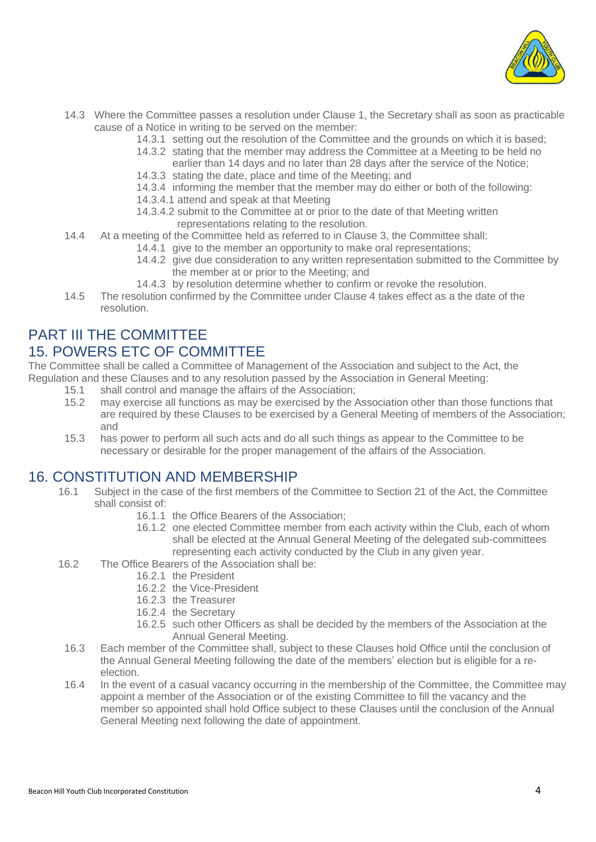

- 14.3 Where the Committee passes a resolution under Clause 1, the Secretary shall as soon as practicable cause of a Notice in writing to be served on the member:
	- 14.3.1 setting out the resolution of the Committee and the grounds on which it is based;
	- 14.3.2 stating that the member may address the Committee at a Meeting to be held no earlier than 14 days and no later than 28 days after the service of the Notice;
	- 14.3.3 stating the date, place and time of the Meeting; and
	- 14.3.4 informing the member that the member may do either or both of the following:
	- 14.3.4.1 attend and speak at that Meeting
	- 14.3.4.2 submit to the Committee at or prior to the date of that Meeting written
		- representations relating to the resolution.
- 14.4 At a meeting of the Committee held as referred to in Clause 3, the Committee shall:
	- 14.4.1 give to the member an opportunity to make oral representations;
	- 14.4.2 give due consideration to any written representation submitted to the Committee by the member at or prior to the Meeting; and
	- 14.4.3 by resolution determine whether to confirm or revoke the resolution.
- 14.5 The resolution confirmed by the Committee under Clause 4 takes effect as a the date of the resolution.

## PART III THE COMMITTEE 15. POWERS ETC OF COMMITTEE

The Committee shall be called a Committee of Management of the Association and subject to the Act, the Regulation and these Clauses and to any resolution passed by the Association in General Meeting:

- 15.1 shall control and manage the affairs of the Association;
- 15.2 may exercise all functions as may be exercised by the Association other than those functions that are required by these Clauses to be exercised by a General Meeting of members of the Association; and
- 15.3 has power to perform all such acts and do all such things as appear to the Committee to be necessary or desirable for the proper management of the affairs of the Association.

#### 16. CONSTITUTION AND MEMBERSHIP

- 16.1 Subject in the case of the first members of the Committee to Section 21 of the Act, the Committee shall consist of:
	- 16.1.1 the Office Bearers of the Association;
	- 16.1.2 one elected Committee member from each activity within the Club, each of whom shall be elected at the Annual General Meeting of the delegated sub-committees representing each activity conducted by the Club in any given year.
- 16.2 The Office Bearers of the Association shall be:
	- 16.2.1 the President
	- 16.2.2 the Vice-President
	- 16.2.3 the Treasurer
	- 16.2.4 the Secretary
	- 16.2.5 such other Officers as shall be decided by the members of the Association at the Annual General Meeting.
	- 16.3 Each member of the Committee shall, subject to these Clauses hold Office until the conclusion of the Annual General Meeting following the date of the members' election but is eligible for a reelection.
	- 16.4 In the event of a casual vacancy occurring in the membership of the Committee, the Committee may appoint a member of the Association or of the existing Committee to fill the vacancy and the member so appointed shall hold Office subject to these Clauses until the conclusion of the Annual General Meeting next following the date of appointment.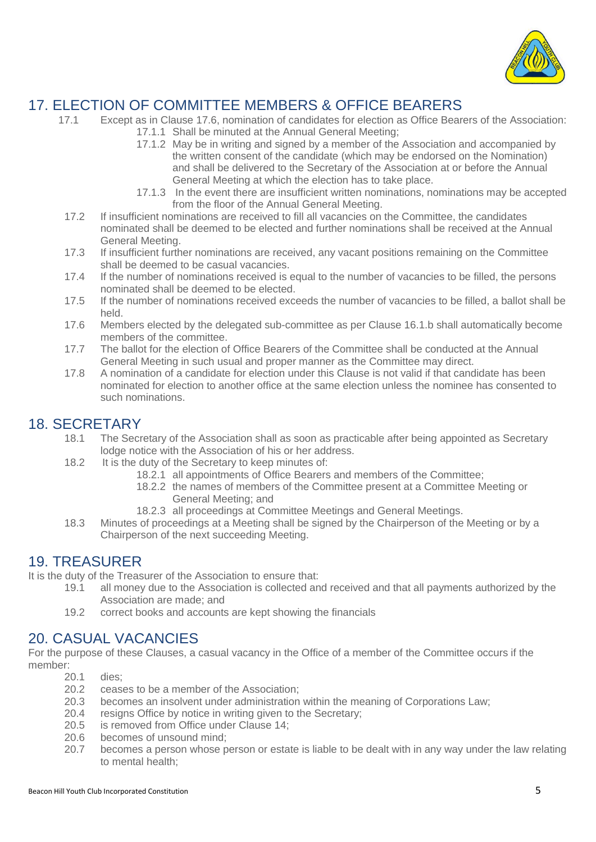

## 17. ELECTION OF COMMITTEE MEMBERS & OFFICE BEARERS

- 17.1 Except as in Clause 17.6, nomination of candidates for election as Office Bearers of the Association: 17.1.1 Shall be minuted at the Annual General Meeting;
	- 17.1.2 May be in writing and signed by a member of the Association and accompanied by the written consent of the candidate (which may be endorsed on the Nomination) and shall be delivered to the Secretary of the Association at or before the Annual General Meeting at which the election has to take place.
	- 17.1.3 In the event there are insufficient written nominations, nominations may be accepted from the floor of the Annual General Meeting.
- 17.2 If insufficient nominations are received to fill all vacancies on the Committee, the candidates nominated shall be deemed to be elected and further nominations shall be received at the Annual General Meeting.
- 17.3 If insufficient further nominations are received, any vacant positions remaining on the Committee shall be deemed to be casual vacancies.
- 17.4 If the number of nominations received is equal to the number of vacancies to be filled, the persons nominated shall be deemed to be elected.
- 17.5 If the number of nominations received exceeds the number of vacancies to be filled, a ballot shall be held.
- 17.6 Members elected by the delegated sub-committee as per Clause 16.1.b shall automatically become members of the committee.
- 17.7 The ballot for the election of Office Bearers of the Committee shall be conducted at the Annual General Meeting in such usual and proper manner as the Committee may direct.
- 17.8 A nomination of a candidate for election under this Clause is not valid if that candidate has been nominated for election to another office at the same election unless the nominee has consented to such nominations.

## 18. SECRETARY

- 18.1 The Secretary of the Association shall as soon as practicable after being appointed as Secretary lodge notice with the Association of his or her address.
- 18.2 It is the duty of the Secretary to keep minutes of:
	- 18.2.1 all appointments of Office Bearers and members of the Committee;
	- 18.2.2 the names of members of the Committee present at a Committee Meeting or General Meeting; and
	- 18.2.3 all proceedings at Committee Meetings and General Meetings.
- 18.3 Minutes of proceedings at a Meeting shall be signed by the Chairperson of the Meeting or by a Chairperson of the next succeeding Meeting.

#### 19. TREASURER

It is the duty of the Treasurer of the Association to ensure that:

- 19.1 all money due to the Association is collected and received and that all payments authorized by the Association are made; and
- 19.2 correct books and accounts are kept showing the financials

#### 20. CASUAL VACANCIES

For the purpose of these Clauses, a casual vacancy in the Office of a member of the Committee occurs if the member:

- 20.1 dies;
- 20.2 ceases to be a member of the Association;
- 20.3 becomes an insolvent under administration within the meaning of Corporations Law;
- 20.4 resigns Office by notice in writing given to the Secretary;<br>20.5 is removed from Office under Clause 14;
- is removed from Office under Clause 14;
- 20.6 becomes of unsound mind;
- 20.7 becomes a person whose person or estate is liable to be dealt with in any way under the law relating to mental health;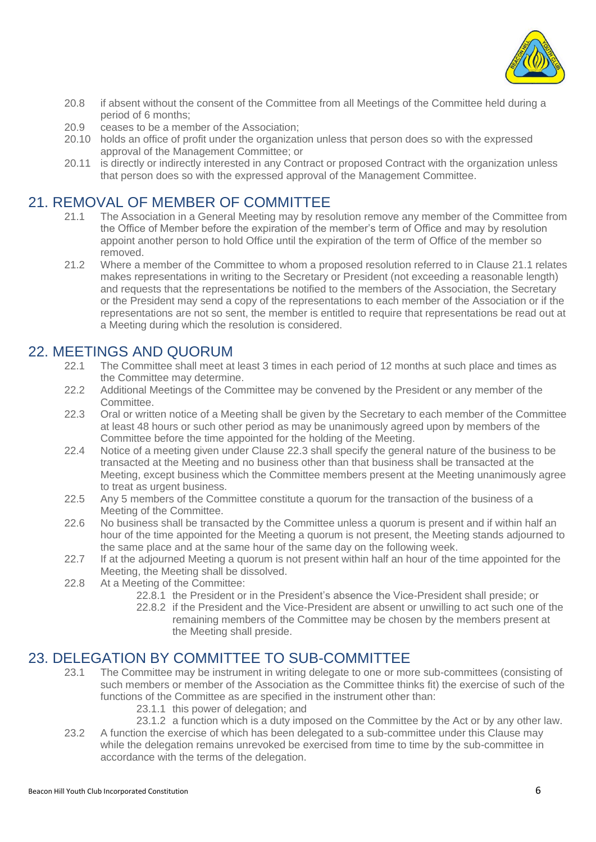

- 20.8 if absent without the consent of the Committee from all Meetings of the Committee held during a period of 6 months;
- 20.9 ceases to be a member of the Association;
- 20.10 holds an office of profit under the organization unless that person does so with the expressed approval of the Management Committee; or
- 20.11 is directly or indirectly interested in any Contract or proposed Contract with the organization unless that person does so with the expressed approval of the Management Committee.

## 21. REMOVAL OF MEMBER OF COMMITTEE

- 21.1 The Association in a General Meeting may by resolution remove any member of the Committee from the Office of Member before the expiration of the member's term of Office and may by resolution appoint another person to hold Office until the expiration of the term of Office of the member so removed.
- 21.2 Where a member of the Committee to whom a proposed resolution referred to in Clause 21.1 relates makes representations in writing to the Secretary or President (not exceeding a reasonable length) and requests that the representations be notified to the members of the Association, the Secretary or the President may send a copy of the representations to each member of the Association or if the representations are not so sent, the member is entitled to require that representations be read out at a Meeting during which the resolution is considered.

#### 22. MEETINGS AND QUORUM

- 22.1 The Committee shall meet at least 3 times in each period of 12 months at such place and times as the Committee may determine.
- 22.2 Additional Meetings of the Committee may be convened by the President or any member of the Committee.
- 22.3 Oral or written notice of a Meeting shall be given by the Secretary to each member of the Committee at least 48 hours or such other period as may be unanimously agreed upon by members of the Committee before the time appointed for the holding of the Meeting.
- 22.4 Notice of a meeting given under Clause 22.3 shall specify the general nature of the business to be transacted at the Meeting and no business other than that business shall be transacted at the Meeting, except business which the Committee members present at the Meeting unanimously agree to treat as urgent business.
- 22.5 Any 5 members of the Committee constitute a quorum for the transaction of the business of a Meeting of the Committee.
- 22.6 No business shall be transacted by the Committee unless a quorum is present and if within half an hour of the time appointed for the Meeting a quorum is not present, the Meeting stands adjourned to the same place and at the same hour of the same day on the following week.
- 22.7 If at the adjourned Meeting a quorum is not present within half an hour of the time appointed for the Meeting, the Meeting shall be dissolved.
- 22.8 At a Meeting of the Committee:
	- 22.8.1 the President or in the President's absence the Vice-President shall preside; or
	- 22.8.2 if the President and the Vice-President are absent or unwilling to act such one of the remaining members of the Committee may be chosen by the members present at the Meeting shall preside.

#### 23. DELEGATION BY COMMITTEE TO SUB-COMMITTEE

- 23.1 The Committee may be instrument in writing delegate to one or more sub-committees (consisting of such members or member of the Association as the Committee thinks fit) the exercise of such of the functions of the Committee as are specified in the instrument other than:
	- 23.1.1 this power of delegation; and
	- 23.1.2 a function which is a duty imposed on the Committee by the Act or by any other law.
- 23.2 A function the exercise of which has been delegated to a sub-committee under this Clause may while the delegation remains unrevoked be exercised from time to time by the sub-committee in accordance with the terms of the delegation.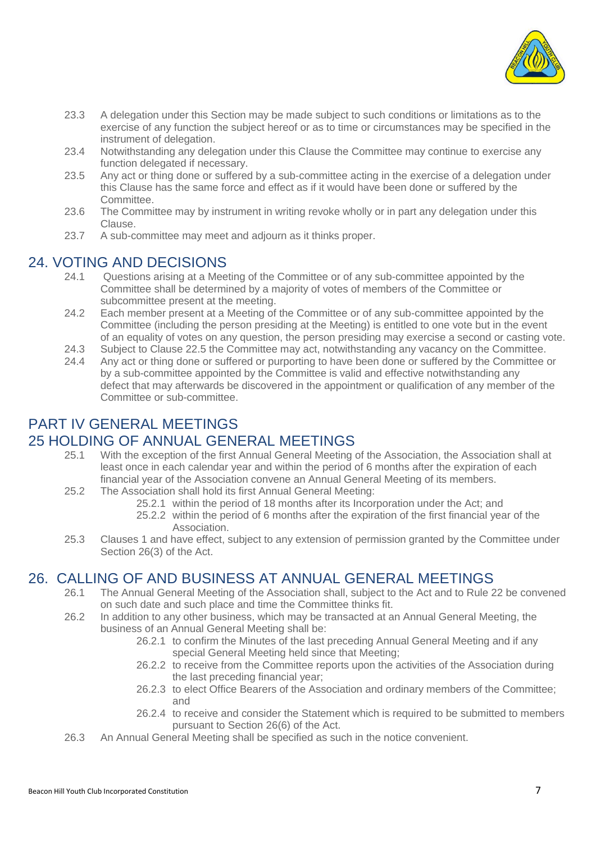

- 23.3 A delegation under this Section may be made subject to such conditions or limitations as to the exercise of any function the subject hereof or as to time or circumstances may be specified in the instrument of delegation.
- 23.4 Notwithstanding any delegation under this Clause the Committee may continue to exercise any function delegated if necessary.
- 23.5 Any act or thing done or suffered by a sub-committee acting in the exercise of a delegation under this Clause has the same force and effect as if it would have been done or suffered by the Committee.
- 23.6 The Committee may by instrument in writing revoke wholly or in part any delegation under this Clause.
- 23.7 A sub-committee may meet and adjourn as it thinks proper.

#### 24. VOTING AND DECISIONS

- 24.1 Questions arising at a Meeting of the Committee or of any sub-committee appointed by the Committee shall be determined by a majority of votes of members of the Committee or subcommittee present at the meeting.
- 24.2 Each member present at a Meeting of the Committee or of any sub-committee appointed by the Committee (including the person presiding at the Meeting) is entitled to one vote but in the event of an equality of votes on any question, the person presiding may exercise a second or casting vote.
- 24.3 Subject to Clause 22.5 the Committee may act, notwithstanding any vacancy on the Committee.
- 24.4 Any act or thing done or suffered or purporting to have been done or suffered by the Committee or by a sub-committee appointed by the Committee is valid and effective notwithstanding any defect that may afterwards be discovered in the appointment or qualification of any member of the Committee or sub-committee.

## PART IV GENERAL MEETINGS

#### 25 HOLDING OF ANNUAL GENERAL MEETINGS

- 25.1 With the exception of the first Annual General Meeting of the Association, the Association shall at least once in each calendar year and within the period of 6 months after the expiration of each financial year of the Association convene an Annual General Meeting of its members.
- 25.2 The Association shall hold its first Annual General Meeting:
	- 25.2.1 within the period of 18 months after its Incorporation under the Act; and
	- 25.2.2 within the period of 6 months after the expiration of the first financial year of the Association.
- 25.3 Clauses 1 and have effect, subject to any extension of permission granted by the Committee under Section 26(3) of the Act.

#### 26. CALLING OF AND BUSINESS AT ANNUAL GENERAL MEETINGS

- 26.1 The Annual General Meeting of the Association shall, subject to the Act and to Rule 22 be convened on such date and such place and time the Committee thinks fit.
- 26.2 In addition to any other business, which may be transacted at an Annual General Meeting, the business of an Annual General Meeting shall be:
	- 26.2.1 to confirm the Minutes of the last preceding Annual General Meeting and if any special General Meeting held since that Meeting;
	- 26.2.2 to receive from the Committee reports upon the activities of the Association during the last preceding financial year;
	- 26.2.3 to elect Office Bearers of the Association and ordinary members of the Committee; and
	- 26.2.4 to receive and consider the Statement which is required to be submitted to members pursuant to Section 26(6) of the Act.
- 26.3 An Annual General Meeting shall be specified as such in the notice convenient.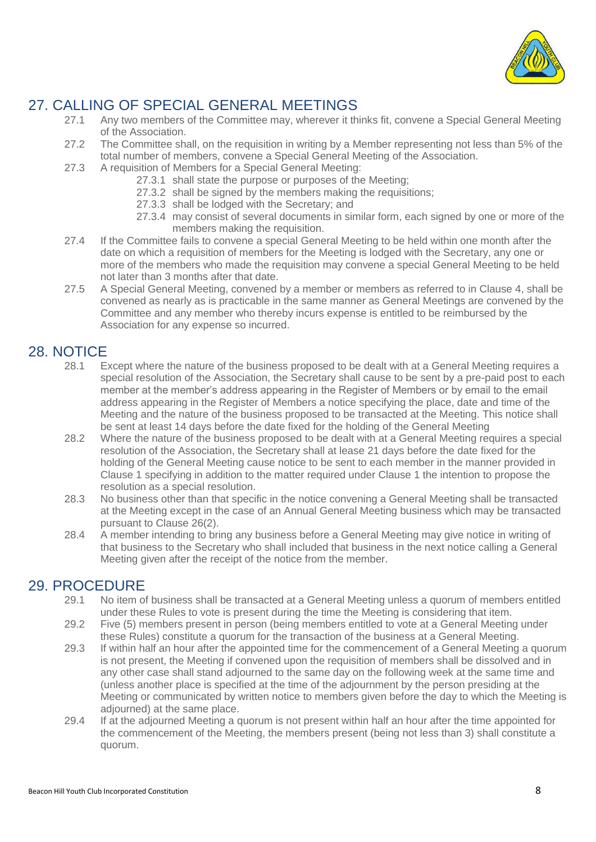

## 27. CALLING OF SPECIAL GENERAL MEETINGS<br>27.1 Any two members of the Committee may. wherever it the

- Any two members of the Committee may, wherever it thinks fit, convene a Special General Meeting of the Association.
- 27.2 The Committee shall, on the requisition in writing by a Member representing not less than 5% of the total number of members, convene a Special General Meeting of the Association.
- 27.3 A requisition of Members for a Special General Meeting:
	- 27.3.1 shall state the purpose or purposes of the Meeting;
	- 27.3.2 shall be signed by the members making the requisitions;
	- 27.3.3 shall be lodged with the Secretary; and
	- 27.3.4 may consist of several documents in similar form, each signed by one or more of the members making the requisition.
- 27.4 If the Committee fails to convene a special General Meeting to be held within one month after the date on which a requisition of members for the Meeting is lodged with the Secretary, any one or more of the members who made the requisition may convene a special General Meeting to be held not later than 3 months after that date.
- 27.5 A Special General Meeting, convened by a member or members as referred to in Clause 4, shall be convened as nearly as is practicable in the same manner as General Meetings are convened by the Committee and any member who thereby incurs expense is entitled to be reimbursed by the Association for any expense so incurred.

#### 28. NOTICE

- 28.1 Except where the nature of the business proposed to be dealt with at a General Meeting requires a special resolution of the Association, the Secretary shall cause to be sent by a pre-paid post to each member at the member's address appearing in the Register of Members or by email to the email address appearing in the Register of Members a notice specifying the place, date and time of the Meeting and the nature of the business proposed to be transacted at the Meeting. This notice shall be sent at least 14 days before the date fixed for the holding of the General Meeting
- 28.2 Where the nature of the business proposed to be dealt with at a General Meeting requires a special resolution of the Association, the Secretary shall at lease 21 days before the date fixed for the holding of the General Meeting cause notice to be sent to each member in the manner provided in Clause 1 specifying in addition to the matter required under Clause 1 the intention to propose the resolution as a special resolution.
- 28.3 No business other than that specific in the notice convening a General Meeting shall be transacted at the Meeting except in the case of an Annual General Meeting business which may be transacted pursuant to Clause 26(2).
- 28.4 A member intending to bring any business before a General Meeting may give notice in writing of that business to the Secretary who shall included that business in the next notice calling a General Meeting given after the receipt of the notice from the member.

#### 29. PROCEDURE

- 29.1 No item of business shall be transacted at a General Meeting unless a quorum of members entitled under these Rules to vote is present during the time the Meeting is considering that item.
- 29.2 Five (5) members present in person (being members entitled to vote at a General Meeting under these Rules) constitute a quorum for the transaction of the business at a General Meeting.
- 29.3 If within half an hour after the appointed time for the commencement of a General Meeting a quorum is not present, the Meeting if convened upon the requisition of members shall be dissolved and in any other case shall stand adjourned to the same day on the following week at the same time and (unless another place is specified at the time of the adjournment by the person presiding at the Meeting or communicated by written notice to members given before the day to which the Meeting is adjourned) at the same place.
- 29.4 If at the adjourned Meeting a quorum is not present within half an hour after the time appointed for the commencement of the Meeting, the members present (being not less than 3) shall constitute a quorum.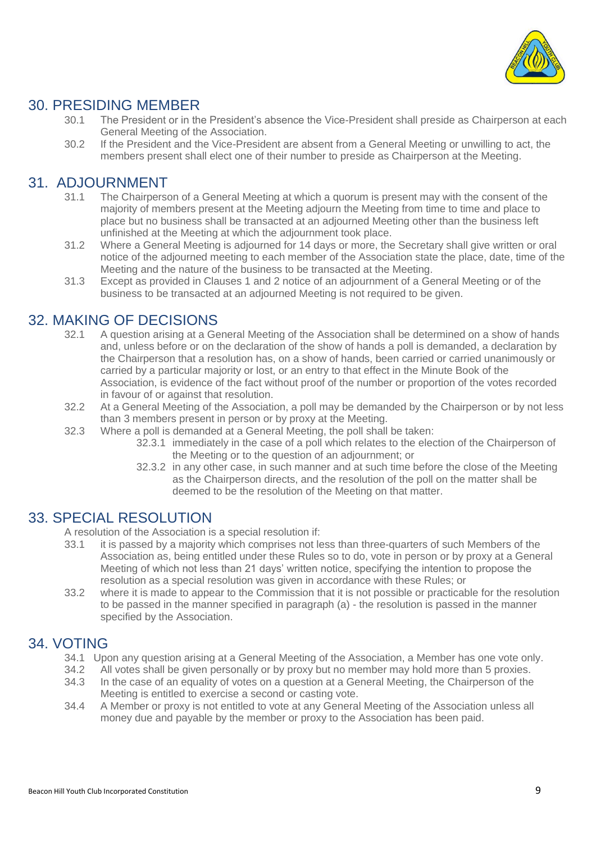

## 30. PRESIDING MEMBER

- 30.1 The President or in the President's absence the Vice-President shall preside as Chairperson at each General Meeting of the Association.
- 30.2 If the President and the Vice-President are absent from a General Meeting or unwilling to act, the members present shall elect one of their number to preside as Chairperson at the Meeting.

#### 31. ADJOURNMENT

- 31.1 The Chairperson of a General Meeting at which a quorum is present may with the consent of the majority of members present at the Meeting adjourn the Meeting from time to time and place to place but no business shall be transacted at an adjourned Meeting other than the business left unfinished at the Meeting at which the adjournment took place.
- 31.2 Where a General Meeting is adjourned for 14 days or more, the Secretary shall give written or oral notice of the adjourned meeting to each member of the Association state the place, date, time of the Meeting and the nature of the business to be transacted at the Meeting.
- 31.3 Except as provided in Clauses 1 and 2 notice of an adjournment of a General Meeting or of the business to be transacted at an adjourned Meeting is not required to be given.

## 32. MAKING OF DECISIONS

- 32.1 A question arising at a General Meeting of the Association shall be determined on a show of hands and, unless before or on the declaration of the show of hands a poll is demanded, a declaration by the Chairperson that a resolution has, on a show of hands, been carried or carried unanimously or carried by a particular majority or lost, or an entry to that effect in the Minute Book of the Association, is evidence of the fact without proof of the number or proportion of the votes recorded in favour of or against that resolution.
- 32.2 At a General Meeting of the Association, a poll may be demanded by the Chairperson or by not less than 3 members present in person or by proxy at the Meeting.
- 32.3 Where a poll is demanded at a General Meeting, the poll shall be taken:
	- 32.3.1 immediately in the case of a poll which relates to the election of the Chairperson of the Meeting or to the question of an adjournment; or
	- 32.3.2 in any other case, in such manner and at such time before the close of the Meeting as the Chairperson directs, and the resolution of the poll on the matter shall be deemed to be the resolution of the Meeting on that matter.

#### 33. SPECIAL RESOLUTION

A resolution of the Association is a special resolution if:

- 33.1 it is passed by a majority which comprises not less than three-quarters of such Members of the Association as, being entitled under these Rules so to do, vote in person or by proxy at a General Meeting of which not less than 21 days' written notice, specifying the intention to propose the resolution as a special resolution was given in accordance with these Rules; or
- 33.2 where it is made to appear to the Commission that it is not possible or practicable for the resolution to be passed in the manner specified in paragraph (a) - the resolution is passed in the manner specified by the Association.

#### 34. VOTING

- 34.1 Upon any question arising at a General Meeting of the Association, a Member has one vote only.
- 34.2 All votes shall be given personally or by proxy but no member may hold more than 5 proxies.
- 34.3 In the case of an equality of votes on a question at a General Meeting, the Chairperson of the Meeting is entitled to exercise a second or casting vote.
- 34.4 A Member or proxy is not entitled to vote at any General Meeting of the Association unless all money due and payable by the member or proxy to the Association has been paid.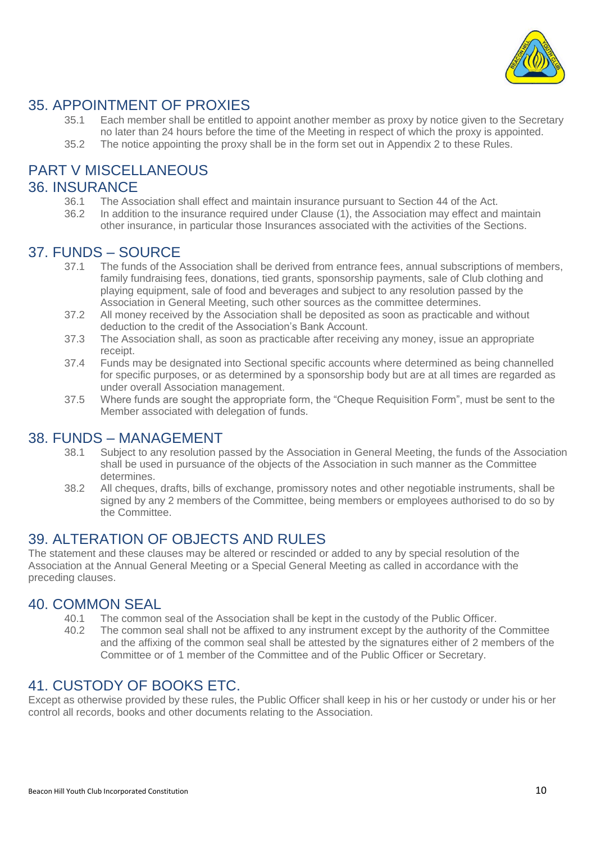

## 35. APPOINTMENT OF PROXIES

- 35.1 Each member shall be entitled to appoint another member as proxy by notice given to the Secretary no later than 24 hours before the time of the Meeting in respect of which the proxy is appointed.
- 35.2 The notice appointing the proxy shall be in the form set out in Appendix 2 to these Rules.

## PART V MISCELLANEOUS

#### 36. INSURANCE

- 36.1 The Association shall effect and maintain insurance pursuant to Section 44 of the Act.
- 36.2 In addition to the insurance required under Clause (1), the Association may effect and maintain other insurance, in particular those Insurances associated with the activities of the Sections.

#### 37. FUNDS – SOURCE

- 37.1 The funds of the Association shall be derived from entrance fees, annual subscriptions of members, family fundraising fees, donations, tied grants, sponsorship payments, sale of Club clothing and playing equipment, sale of food and beverages and subject to any resolution passed by the Association in General Meeting, such other sources as the committee determines.
- 37.2 All money received by the Association shall be deposited as soon as practicable and without deduction to the credit of the Association's Bank Account.
- 37.3 The Association shall, as soon as practicable after receiving any money, issue an appropriate receipt.
- 37.4 Funds may be designated into Sectional specific accounts where determined as being channelled for specific purposes, or as determined by a sponsorship body but are at all times are regarded as under overall Association management.
- 37.5 Where funds are sought the appropriate form, the "Cheque Requisition Form", must be sent to the Member associated with delegation of funds.

#### 38. FUNDS – MANAGEMENT

- 38.1 Subject to any resolution passed by the Association in General Meeting, the funds of the Association shall be used in pursuance of the objects of the Association in such manner as the Committee determines.
- 38.2 All cheques, drafts, bills of exchange, promissory notes and other negotiable instruments, shall be signed by any 2 members of the Committee, being members or employees authorised to do so by the Committee.

#### 39. ALTERATION OF OBJECTS AND RULES

The statement and these clauses may be altered or rescinded or added to any by special resolution of the Association at the Annual General Meeting or a Special General Meeting as called in accordance with the preceding clauses.

#### 40. COMMON SEAL

- 40.1 The common seal of the Association shall be kept in the custody of the Public Officer.<br>40.2 The common seal shall not be affixed to any instrument except by the authority of the
- The common seal shall not be affixed to any instrument except by the authority of the Committee and the affixing of the common seal shall be attested by the signatures either of 2 members of the Committee or of 1 member of the Committee and of the Public Officer or Secretary.

#### 41. CUSTODY OF BOOKS ETC.

Except as otherwise provided by these rules, the Public Officer shall keep in his or her custody or under his or her control all records, books and other documents relating to the Association.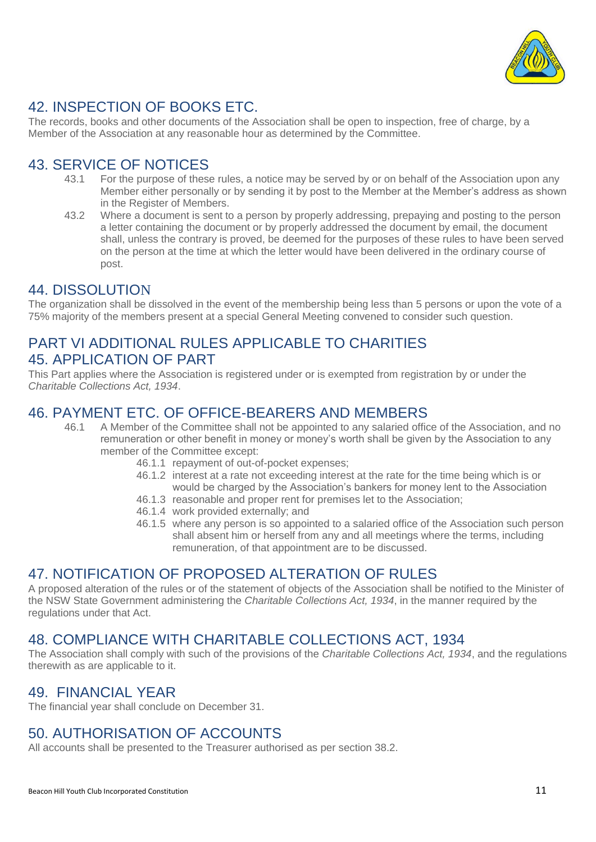

## 42. INSPECTION OF BOOKS ETC.

The records, books and other documents of the Association shall be open to inspection, free of charge, by a Member of the Association at any reasonable hour as determined by the Committee.

## 43. SERVICE OF NOTICES

- 43.1 For the purpose of these rules, a notice may be served by or on behalf of the Association upon any Member either personally or by sending it by post to the Member at the Member's address as shown in the Register of Members.
- 43.2 Where a document is sent to a person by properly addressing, prepaying and posting to the person a letter containing the document or by properly addressed the document by email, the document shall, unless the contrary is proved, be deemed for the purposes of these rules to have been served on the person at the time at which the letter would have been delivered in the ordinary course of post.

#### 44. DISSOLUTION

The organization shall be dissolved in the event of the membership being less than 5 persons or upon the vote of a 75% majority of the members present at a special General Meeting convened to consider such question.

#### PART VI ADDITIONAL RULES APPLICABLE TO CHARITIES 45. APPLICATION OF PART

This Part applies where the Association is registered under or is exempted from registration by or under the *Charitable Collections Act, 1934*.

#### 46. PAYMENT ETC. OF OFFICE-BEARERS AND MEMBERS

- 46.1 A Member of the Committee shall not be appointed to any salaried office of the Association, and no remuneration or other benefit in money or money's worth shall be given by the Association to any member of the Committee except:
	- 46.1.1 repayment of out-of-pocket expenses;
	- 46.1.2 interest at a rate not exceeding interest at the rate for the time being which is or would be charged by the Association's bankers for money lent to the Association
	- 46.1.3 reasonable and proper rent for premises let to the Association;
	- 46.1.4 work provided externally; and
	- 46.1.5 where any person is so appointed to a salaried office of the Association such person shall absent him or herself from any and all meetings where the terms, including remuneration, of that appointment are to be discussed.

#### 47. NOTIFICATION OF PROPOSED ALTERATION OF RULES

A proposed alteration of the rules or of the statement of objects of the Association shall be notified to the Minister of the NSW State Government administering the *Charitable Collections Act, 1934*, in the manner required by the regulations under that Act.

#### 48. COMPLIANCE WITH CHARITABLE COLLECTIONS ACT, 1934

The Association shall comply with such of the provisions of the *Charitable Collections Act, 1934*, and the regulations therewith as are applicable to it.

#### 49. FINANCIAL YEAR

The financial year shall conclude on December 31.

## 50. AUTHORISATION OF ACCOUNTS

All accounts shall be presented to the Treasurer authorised as per section 38.2.